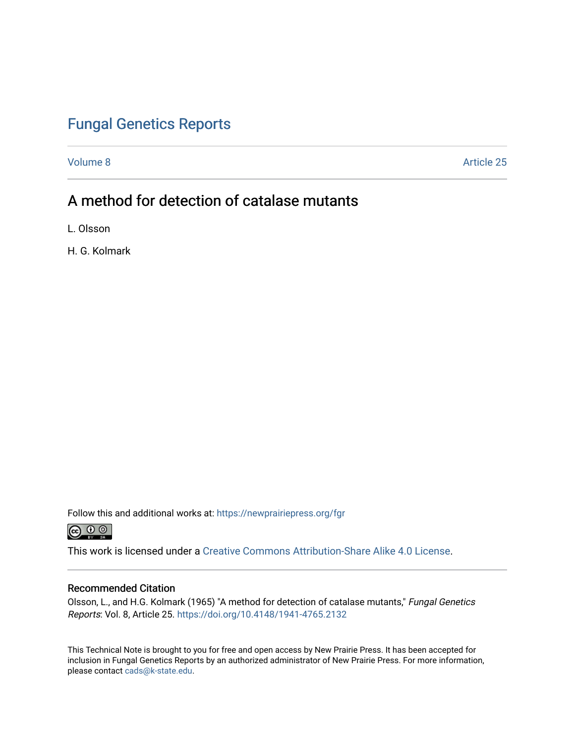# [Fungal Genetics Reports](https://newprairiepress.org/fgr)

[Volume 8](https://newprairiepress.org/fgr/vol8) Article 25

# A method for detection of catalase mutants

L. Olsson

H. G. Kolmark

Follow this and additional works at: [https://newprairiepress.org/fgr](https://newprairiepress.org/fgr?utm_source=newprairiepress.org%2Ffgr%2Fvol8%2Fiss1%2F25&utm_medium=PDF&utm_campaign=PDFCoverPages) 



This work is licensed under a [Creative Commons Attribution-Share Alike 4.0 License.](https://creativecommons.org/licenses/by-sa/4.0/)

#### Recommended Citation

Olsson, L., and H.G. Kolmark (1965) "A method for detection of catalase mutants," Fungal Genetics Reports: Vol. 8, Article 25. <https://doi.org/10.4148/1941-4765.2132>

This Technical Note is brought to you for free and open access by New Prairie Press. It has been accepted for inclusion in Fungal Genetics Reports by an authorized administrator of New Prairie Press. For more information, please contact [cads@k-state.edu.](mailto:cads@k-state.edu)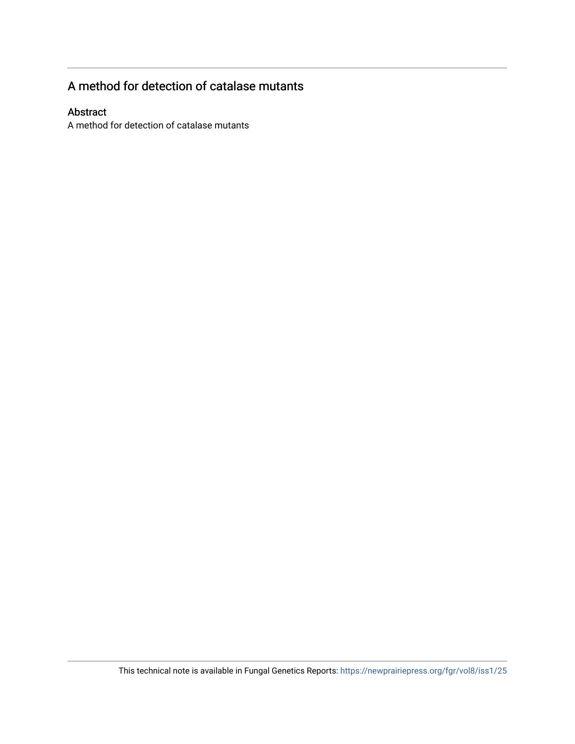### A method for detection of catalase mutants

### Abstract

A method for detection of catalase mutants